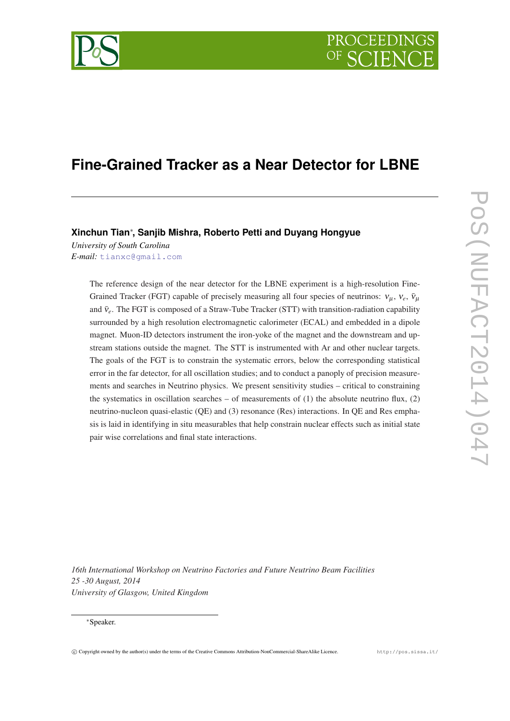

# **Fine-Grained Tracker as a Near Detector for LBNE**

# **Xinchun Tian**<sup>∗</sup> **, Sanjib Mishra, Roberto Petti and Duyang Hongyue**

*University of South Carolina E-mail:* [tianxc@gmail.com](mailto:tianxc@gmail.com)

> The reference design of the near detector for the LBNE experiment is a high-resolution Fine-Grained Tracker (FGT) capable of precisely measuring all four species of neutrinos:  $v_{\mu}$ ,  $v_{e}$ ,  $\bar{v}_{\mu}$ and  $\bar{v}_e$ . The FGT is composed of a Straw-Tube Tracker (STT) with transition-radiation capability surrounded by a high resolution electromagnetic calorimeter (ECAL) and embedded in a dipole magnet. Muon-ID detectors instrument the iron-yoke of the magnet and the downstream and upstream stations outside the magnet. The STT is instrumented with Ar and other nuclear targets. The goals of the FGT is to constrain the systematic errors, below the corresponding statistical error in the far detector, for all oscillation studies; and to conduct a panoply of precision measurements and searches in Neutrino physics. We present sensitivity studies – critical to constraining the systematics in oscillation searches – of measurements of  $(1)$  the absolute neutrino flux,  $(2)$ neutrino-nucleon quasi-elastic (QE) and (3) resonance (Res) interactions. In QE and Res emphasis is laid in identifying in situ measurables that help constrain nuclear effects such as initial state pair wise correlations and final state interactions.

*16th International Workshop on Neutrino Factories and Future Neutrino Beam Facilities 25 -30 August, 2014 University of Glasgow, United Kingdom*

#### <sup>∗</sup>Speaker.

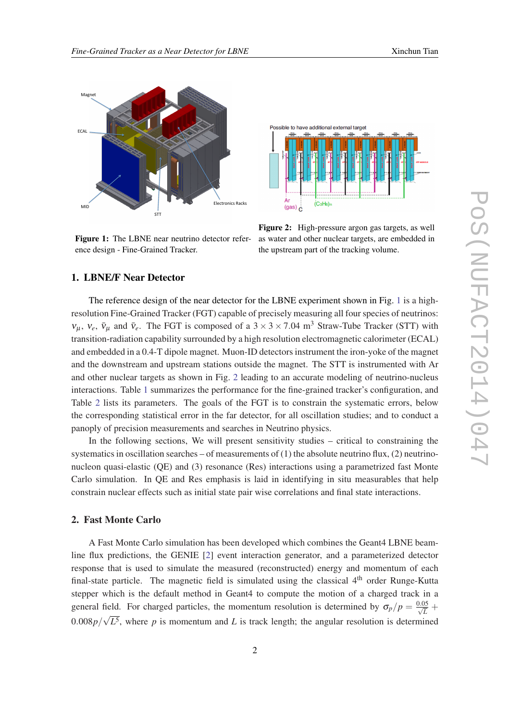

ence design - Fine-Grained Tracker. **Ence the fine-grained tracker** (Fine-Grained Tracker) and the upstr Figure 1: The LBNE near neutrino detector refer-



Figure 2: High-pressure argon gas targets, as well as water and other nuclear targets, are embedded in the upstream part of the tracking volume.

# 1. LBNE/F Near Detector

**Table 4–1:** A comparison of the performance for the reference configuration (LArTPCT) and The reference design of the near detector for the LBNE experiment shown in Fig. 1 is a highresolution Fine-Grained Tracker (FGT) capable of precisely measuring all four species of neutrinos:  $v_{\mu}$ ,  $v_e$ ,  $\bar{v}_{\mu}$  and  $\bar{v}_e$ . The FGT is composed of a 3 × 3 × 7.04 m<sup>3</sup> Straw-Tube Tracker (STT) with transition radiation canability surrounded by a transition-radiation capability surrounded by a high resolution electromagnetic calorimeter (ECAL) and embedded in a 0.4-T dipole magnet. Muon-ID detectors instrument the iron-yoke of the magnet and the downstream and upstream stations outside the magnet. The STT is instrumented with Ar **E**<sup>1</sup> Resolution x<sup>1</sup> *and other nuclear targets as shown in Fig. 2 leading to an accurate modeling of neutrino-nucleus interactions* Table 1 summarizes the perform NC*π* interactions. Table [1](#page-2-0) summarizes the performance for the fine-grained tracker's configuration, and Table [2](#page-2-0) lists its parameters. The goals of the FGT is to constrain the systematic errors, below the corresponding statistical error in the far detector, for all oscillation studies; and to conduct a panoply of precision measurements and searches in Neutrino physics.

> systematics in oscillation searches – of measurements of (1) the absolute neutrino flux, (2) neutrino-In the following sections, We will present sensitivity studies – critical to constraining the nucleon quasi-elastic (QE) and (3) resonance (Res) interactions using a parametrized fast Monte Carlo simulation. In QE and Res emphasis is laid in identifying in situ measurables that help constrain nuclear effects such as initial state pair wise correlations and final state interactions.

## 2. Fast Monte Carlo

A Fast Monte Carlo simulation has been developed which combines the Geant4 LBNE beamline flux predictions, the GENIE [\[2\]](#page-7-0) event interaction generator, and a parameterized detector response that is used to simulate the measured (reconstructed) energy and momentum of each final-state particle. The magnetic field is simulated using the classical  $4<sup>th</sup>$  order Runge-Kutta stepper which is the default method in Geant4 to compute the motion of a charged track in a general field. For charged particles, the momentum resolution is determined by  $\sigma_p/p = \frac{0.05}{\sqrt{L}} +$ 0.008*p*/ √ *L* 5 , where *p* is momentum and *L* is track length; the angular resolution is determined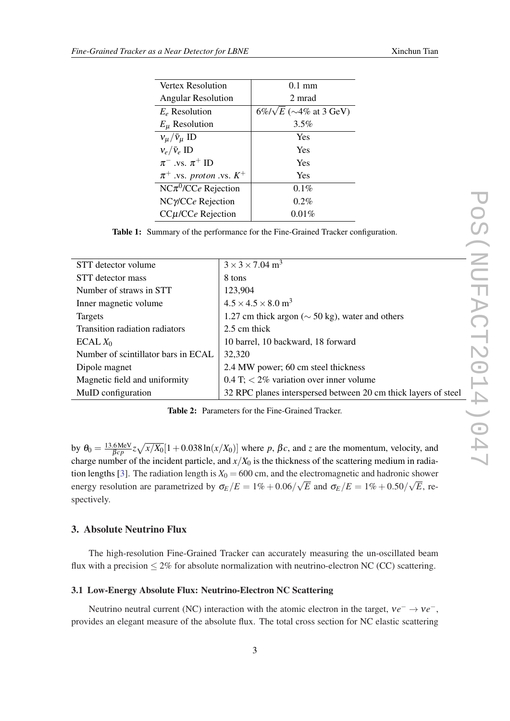<span id="page-2-0"></span>

| $0.1$ mm                             |
|--------------------------------------|
| 2 mrad                               |
| $6\%/\sqrt{E}$ ( $\sim$ 4% at 3 GeV) |
| 3.5%                                 |
| Yes                                  |
| Yes                                  |
| Yes                                  |
| Yes                                  |
| $0.1\%$                              |
| $0.2\%$                              |
| 0.01%                                |
|                                      |

Table 1: Summary of the performance for the Fine-Grained Tracker configuration.

| STT detector volume                 | $3 \times 3 \times 7.04$ m <sup>3</sup>                        |
|-------------------------------------|----------------------------------------------------------------|
| STT detector mass                   | 8 tons                                                         |
| Number of straws in STT             | 123,904                                                        |
| Inner magnetic volume               | $4.5 \times 4.5 \times 8.0$ m <sup>3</sup>                     |
| Targets                             | 1.27 cm thick argon ( $\sim$ 50 kg), water and others          |
| Transition radiation radiators      | 2.5 cm thick                                                   |
| ECAL $X_0$                          | 10 barrel, 10 backward, 18 forward                             |
| Number of scintillator bars in ECAL | 32,320                                                         |
| Dipole magnet                       | 2.4 MW power; 60 cm steel thickness                            |
| Magnetic field and uniformity       | 0.4 T; $\lt 2\%$ variation over inner volume                   |
| MuID configuration                  | 32 RPC planes interspersed between 20 cm thick layers of steel |
|                                     |                                                                |

Table 2: Parameters for the Fine-Grained Tracker.

by  $\theta_0 = \frac{13.6 \text{ MeV}}{B_{CD}}$  $\frac{1.6 \text{ MeV}}{1.6 \text{ GeV}} z \sqrt{\frac{x}{X_0}} [1 + 0.038 \ln(x/X_0)]$  where *p*, *βc*, and *z* are the momentum, velocity, and charge number of the incident particle, and  $x/X_0$  is the thickness of the scattering medium in radia-tion lengths [\[3\]](#page-7-0). The radiation length is  $X_0 = 600$  cm, and the electromagnetic and hadronic shower energy resolution are parametrized by  $\sigma_E/E = 1\% + 0.06/\sqrt{E}$  and  $\sigma_E/E = 1\% + 0.50/\sqrt{E}$ , respectively.

# 3. Absolute Neutrino Flux

The high-resolution Fine-Grained Tracker can accurately measuring the un-oscillated beam flux with a precision  $\leq 2\%$  for absolute normalization with neutrino-electron NC (CC) scattering.

#### 3.1 Low-Energy Absolute Flux: Neutrino-Electron NC Scattering

Neutrino neutral current (NC) interaction with the atomic electron in the target,  $ve^- \rightarrow ve^-,$ provides an elegant measure of the absolute flux. The total cross section for NC elastic scattering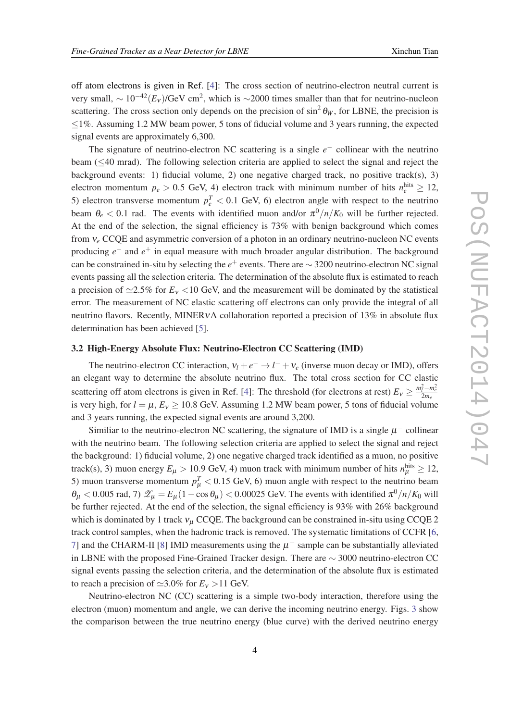off atom electrons is given in Ref. [\[4](#page-7-0)]: The cross section of neutrino-electron neutral current is very small,  $\sim 10^{-42} (E_v) / GeV$  cm<sup>2</sup>, which is  $\sim$ 2000 times smaller than that for neutrino-nucleon scattering. The cross section only depends on the precision of  $\sin^2 \theta_W$ , for LBNE, the precision is  $\leq$ 1%. Assuming 1.2 MW beam power, 5 tons of fiducial volume and 3 years running, the expected signal events are approximately 6,300.

The signature of neutrino-electron NC scattering is a single  $e^-$  collinear with the neutrino beam (≤40 mrad). The following selection criteria are applied to select the signal and reject the background events: 1) fiducial volume, 2) one negative charged track, no positive track(s), 3) electron momentum  $p_e > 0.5$  GeV, 4) electron track with minimum number of hits  $n_e^{\text{hits}} \ge 12$ , 5) electron transverse momentum  $p_e^T < 0.1$  GeV, 6) electron angle with respect to the neutrino beam  $\theta_e < 0.1$  rad. The events with identified muon and/or  $\pi^0/n/K_0$  will be further rejected. At the end of the selection, the signal efficiency is 73% with benign background which comes from ν*<sup>e</sup>* CCQE and asymmetric conversion of a photon in an ordinary neutrino-nucleon NC events producing  $e^-$  and  $e^+$  in equal measure with much broader angular distribution. The background can be constrained in-situ by selecting the *e* <sup>+</sup> events. There are ∼ 3200 neutrino-electron NC signal events passing all the selection criteria. The determination of the absolute flux is estimated to reach a precision of  $\approx$ 2.5% for  $E_v$  <10 GeV, and the measurement will be dominated by the statistical error. The measurement of NC elastic scattering off electrons can only provide the integral of all neutrino flavors. Recently, MINER<sub>V</sub>A collaboration reported a precision of 13% in absolute flux determination has been achieved [[5](#page-7-0)].

### 3.2 High-Energy Absolute Flux: Neutrino-Electron CC Scattering (IMD)

The neutrino-electron CC interaction,  $v_l + e^- \rightarrow l^- + v_e$  (inverse muon decay or IMD), offers an elegant way to determine the absolute neutrino flux. The total cross section for CC elastic scattering off atom electrons is given in Ref. [[4](#page-7-0)]: The threshold (for electrons at rest)  $E_v \ge \frac{m_l^2 - m_e^2}{2m_e}$ is very high, for  $l = \mu$ ,  $E_v \ge 10.8$  GeV. Assuming 1.2 MW beam power, 5 tons of fiducial volume and 3 years running, the expected signal events are around 3,200.

Similiar to the neutrino-electron NC scattering, the signature of IMD is a single  $\mu^-$  collinear with the neutrino beam. The following selection criteria are applied to select the signal and reject the background: 1) fiducial volume, 2) one negative charged track identified as a muon, no positive track(s), 3) muon energy  $E_{\mu} > 10.9$  GeV, 4) muon track with minimum number of hits  $n_{\mu}^{\text{hits}} \ge 12$ , 5) muon transverse momentum  $p_{\mu}^{T}$  < 0.15 GeV, 6) muon angle with respect to the neutrino beam  $\theta_{\mu}$  < 0.005 rad, 7)  $\mathscr{Z}_{\mu} = E_{\mu} (1 - \cos \theta_{\mu})$  < 0.00025 GeV. The events with identified  $\pi^0/n/K_0$  will be further rejected. At the end of the selection, the signal efficiency is 93% with 26% background which is dominated by 1 track  $v_{\mu}$  CCQE. The background can be constrained in-situ using CCQE 2 track control samples, when the hadronic track is removed. The systematic limitations of CCFR [[6](#page-7-0), [7\]](#page-7-0) and the CHARM-II [\[8](#page-7-0)] IMD measurements using the  $\mu^+$  sample can be substantially alleviated in LBNE with the proposed Fine-Grained Tracker design. There are ∼ 3000 neutrino-electron CC signal events passing the selection criteria, and the determination of the absolute flux is estimated to reach a precision of  $\simeq 3.0\%$  for  $E_v > 11$  GeV.

Neutrino-electron NC (CC) scattering is a simple two-body interaction, therefore using the electron (muon) momentum and angle, we can derive the incoming neutrino energy. Figs. [3](#page-4-0) show the comparison between the true neutrino energy (blue curve) with the derived neutrino energy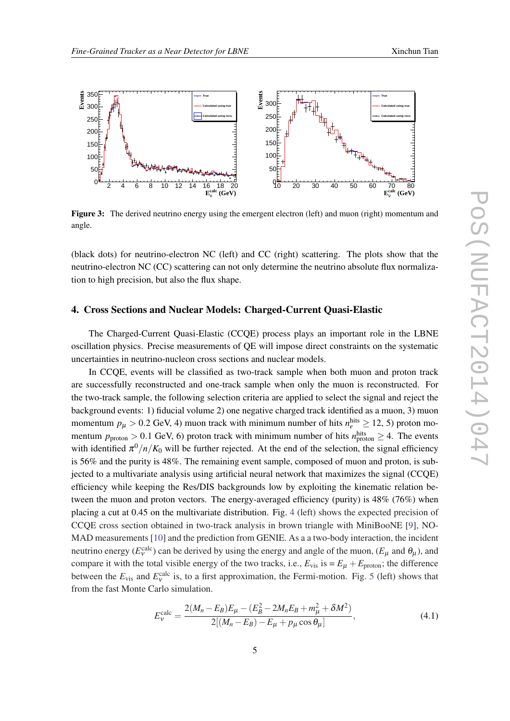<span id="page-4-0"></span>

Figure 3: The derived neutrino energy using the emergent electron (left) and muon (right) momentum and angle.

(black dots) for neutrino-electron NC (left) and CC (right) scattering. The plots show that the neutrino-electron NC (CC) scattering can not only determine the neutrino absolute flux normalization to high precision, but also the flux shape.

## 4. Cross Sections and Nuclear Models: Charged-Current Quasi-Elastic

The Charged-Current Quasi-Elastic (CCQE) process plays an important role in the LBNE oscillation physics. Precise measurements of QE will impose direct constraints on the systematic uncertainties in neutrino-nucleon cross sections and nuclear models.

In CCQE, events will be classified as two-track sample when both muon and proton track are successfully reconstructed and one-track sample when only the muon is reconstructed. For the two-track sample, the following selection criteria are applied to select the signal and reject the background events: 1) fiducial volume 2) one negative charged track identified as a muon, 3) muon momentum  $p_{\mu} > 0.2$  GeV, 4) muon track with minimum number of hits  $n_e^{\text{hits}} \ge 12$ , 5) proton momentum  $p_{\text{proton}} > 0.1$  GeV, 6) proton track with minimum number of hits  $n_{\text{proton}}^{\text{hits}} \geq 4$ . The events with identified  $\pi^0/n/K_0$  will be further rejected. At the end of the selection, the signal efficiency is 56% and the purity is 48%. The remaining event sample, composed of muon and proton, is subjected to a multivariate analysis using artificial neural network that maximizes the signal (CCQE) efficiency while keeping the Res/DIS backgrounds low by exploiting the kinematic relation between the muon and proton vectors. The energy-averaged efficiency (purity) is  $48\%$  (76%) when placing a cut at 0.45 on the multivariate distribution. Fig. [4](#page-6-0) (left) shows the expected precision of CCQE cross section obtained in two-track analysis in brown triangle with MiniBooNE [\[9](#page-7-0)], NO-MAD measurements [\[10](#page-7-0)] and the prediction from GENIE. As a a two-body interaction, the incident neutrino energy ( $E_v^{\text{calc}}$ ) can be derived by using the energy and angle of the muon, ( $E_\mu$  and  $\theta_\mu$ ), and compare it with the total visible energy of the two tracks, i.e.,  $E_{vis}$  is  $= E_{\mu} + E_{\text{proton}}$ ; the difference between the  $E_{\text{vis}}$  and  $E_{\text{v}}^{\text{calc}}$  is, to a first approximation, the Fermi-motion. Fig. [5](#page-6-0) (left) shows that from the fast Monte Carlo simulation.

$$
E_{V}^{\text{calc}} = \frac{2(M_{n} - E_{B})E_{\mu} - (E_{B}^{2} - 2M_{n}E_{B} + m_{\mu}^{2} + \delta M^{2})}{2[(M_{n} - E_{B}) - E_{\mu} + p_{\mu}\cos\theta_{\mu}]},
$$
\n(4.1)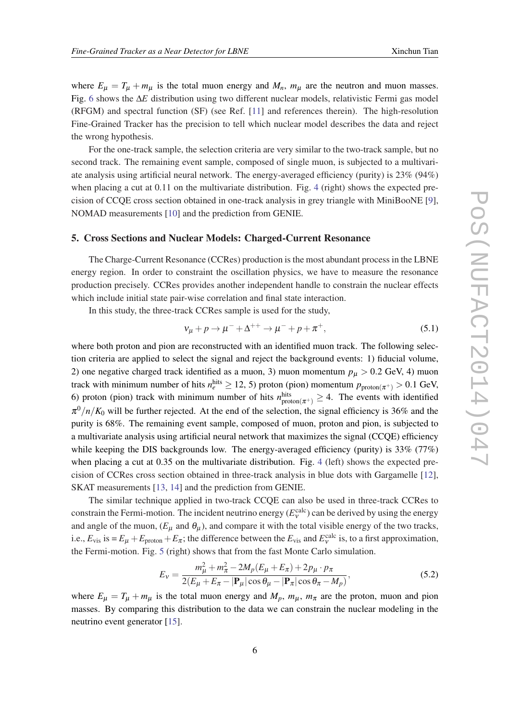where  $E_{\mu} = T_{\mu} + m_{\mu}$  is the total muon energy and  $M_n$ ,  $m_{\mu}$  are the neutron and muon masses. Fig. [6](#page-6-0) shows the ∆*E* distribution using two different nuclear models, relativistic Fermi gas model (RFGM) and spectral function (SF) (see Ref. [[11\]](#page-7-0) and references therein). The high-resolution Fine-Grained Tracker has the precision to tell which nuclear model describes the data and reject the wrong hypothesis.

For the one-track sample, the selection criteria are very similar to the two-track sample, but no second track. The remaining event sample, composed of single muon, is subjected to a multivariate analysis using artificial neural network. The energy-averaged efficiency (purity) is 23% (94%) when placing a cut at 0.11 on the multivariate distribution. Fig. [4](#page-6-0) (right) shows the expected precision of CCQE cross section obtained in one-track analysis in grey triangle with MiniBooNE [\[9\]](#page-7-0), NOMAD measurements [\[10\]](#page-7-0) and the prediction from GENIE.

## 5. Cross Sections and Nuclear Models: Charged-Current Resonance

The Charge-Current Resonance (CCRes) production is the most abundant process in the LBNE energy region. In order to constraint the oscillation physics, we have to measure the resonance production precisely. CCRes provides another independent handle to constrain the nuclear effects which include initial state pair-wise correlation and final state interaction.

In this study, the three-track CCRes sample is used for the study,

$$
v_{\mu} + p \to \mu^{-} + \Delta^{++} \to \mu^{-} + p + \pi^{+}, \tag{5.1}
$$

where both proton and pion are reconstructed with an identified muon track. The following selection criteria are applied to select the signal and reject the background events: 1) fiducial volume, 2) one negative charged track identified as a muon, 3) muon momentum  $p_{\mu} > 0.2$  GeV, 4) muon track with minimum number of hits  $n_e^{\text{hits}} \ge 12, 5$ ) proton (pion) momentum  $p_{\text{proton}(\pi^+)} > 0.1$  GeV, 6) proton (pion) track with minimum number of hits  $n_{\text{proton}(\pi^+)}^{\text{hits}} \geq 4$ . The events with identified  $\pi^0/n/K_0$  will be further rejected. At the end of the selection, the signal efficiency is 36% and the purity is 68%. The remaining event sample, composed of muon, proton and pion, is subjected to a multivariate analysis using artificial neural network that maximizes the signal (CCQE) efficiency while keeping the DIS backgrounds low. The energy-averaged efficiency (purity) is 33% (77%) when placing a cut at 0.35 on the multivariate distribution. Fig. [4](#page-6-0) (left) shows the expected precision of CCRes cross section obtained in three-track analysis in blue dots with Gargamelle [[12\]](#page-7-0), SKAT measurements [\[13](#page-7-0), [14](#page-7-0)] and the prediction from GENIE.

The similar technique applied in two-track CCQE can also be used in three-track CCRes to constrain the Fermi-motion. The incident neutrino energy  $(E_{\nu}^{\text{calc}})$  can be derived by using the energy and angle of the muon,  $(E_{\mu}$  and  $\theta_{\mu}$ ), and compare it with the total visible energy of the two tracks, i.e.,  $E_{\text{vis}}$  is  $= E_{\mu} + E_{\text{proton}} + E_{\pi}$ ; the difference between the  $E_{\text{vis}}$  and  $E_{\text{v}}^{\text{calc}}$  is, to a first approximation, the Fermi-motion. Fig. [5](#page-6-0) (right) shows that from the fast Monte Carlo simulation.

$$
E_{v} = \frac{m_{\mu}^{2} + m_{\pi}^{2} - 2M_{p}(E_{\mu} + E_{\pi}) + 2p_{\mu} \cdot p_{\pi}}{2(E_{\mu} + E_{\pi} - |\mathbf{P}_{\mu}| \cos \theta_{\mu} - |\mathbf{P}_{\pi}| \cos \theta_{\pi} - M_{p})},
$$
(5.2)

where  $E_{\mu} = T_{\mu} + m_{\mu}$  is the total muon energy and  $M_p$ ,  $m_{\mu}$ ,  $m_{\pi}$  are the proton, muon and pion masses. By comparing this distribution to the data we can constrain the nuclear modeling in the neutrino event generator [[15\]](#page-7-0).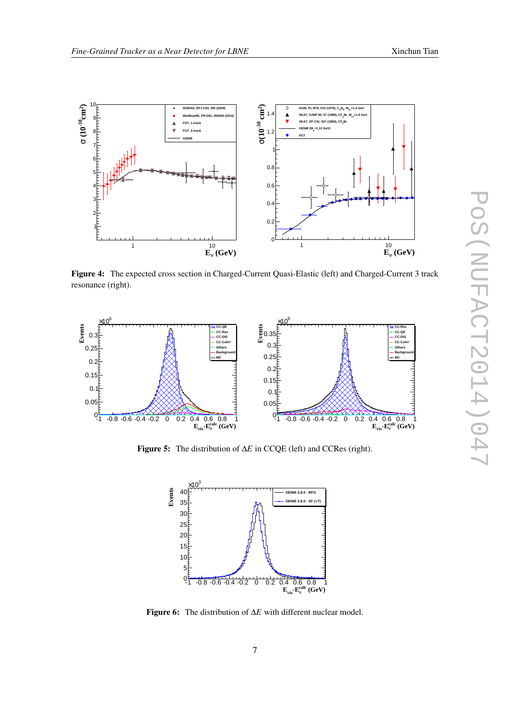<span id="page-6-0"></span>

Figure 4: The expected cross section in Charged-Current Quasi-Elastic (left) and Charged-Current 3 track resonance (right).



Figure 5: The distribution of ∆*E* in CCQE (left) and CCRes (right).



Figure 6: The distribution of ∆*E* with different nuclear model.